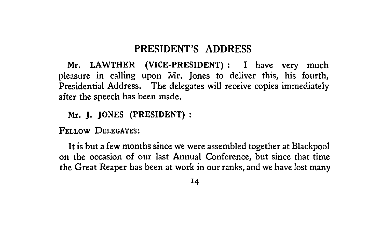# **PRESIDENT'S ADDRESS**

Mr. LAWTHER (VICE-PRESIDENT): I have very much pleasure in calling upon Mr. Jones to deliver this, his fourth, Presidential Address. The delegates will receive copies immediately after the speech has been made,

Mr. J. JONES (PRESIDENT):

FELLOW DELEGATES:

It is but a few months since we were assembled together at Blackpool on the occasion of our last Annual Conference, but since that time the Great Reaper has been at work in our ranks, and we have lost many

'4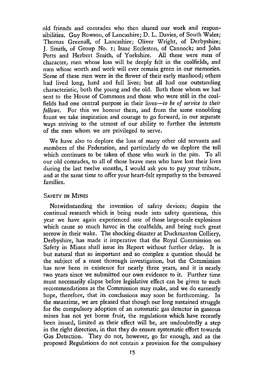old friends and comrades who then shared our work and responsibilities. Guy Rowson, of Lancashire; D. L. Davies, of South Wales; Thomas Greenall, of Lancashire; Oliver Wright, of Derbyshire; J. Smith, of Group No. i; Isaac Eccleston, of Cannock; and John Potts and Herbert Smith, of Yorkshire. All these were men of character, men whose loss will be deeply felt in the coalfields, and men whose worth and work will ever remain green in our memories. Some of these men were in the flower of their early manhood; others had lived long, hard and full lives; but all had one outstanding characteristic, both the young and the old. Both those whom we had sent to the House of Commons and those who were still in the coalfields had one central purpose in their lives*—to be of service to their fellows.* For this we honour them, and from the same ennobling fount we take inspiration and courage to go forward, in our separate ways striving to the utmost of our ability to further the interests of the men whom we are privileged to serve.

We have also to deplore the loss of many other old servants and members of the Federation, and particularly do we deplore the toll which continues to be taken of those who work in the pits. To all our old comrades, to all of those brave men who have lost their lives during the last twelve months, I would ask you to pay your tribute, and at the same time to offer your heart-felt sympathy to the bereaved families.

## SAFETY IN MINES

Notwithstanding the invention of safety devices; despite the continual research which is being made into safety questions, this year we have again experienced one of those large-scale explosions which cause so much havoc in the coalfields, and bring such great sorrow in their wake. The shocking disaster at Duckmanton Colliery, Derbyshire, has made it imperative that the Royal Commission on Safety in Mines shall issue its Report without further delay. It is but natural that so important and so complex a question should be the subject of a most thorough investigation, but the Commission has now been in existence for nearly three years, and it is nearly two years since we submitted our own evidence to it. Further time must necessarily elapse before legislative effect can be given to such recommendations as the Commission may make, and we do earnestly hope, therefore, that its conclusions may soon be forthcoming. In the meantime, we are pleased that though our long sustained struggle for the compulsory adoption of an automatic gas detector in gaseous mines has not yet borne fruit, the regulations which have recently been issued, limited as their effect will be, are undoubtedly a step in the right direction, in that they do ensure systematic effort towards Gas Detection. They do not, however, go far enough, and as the proposed Regulations do not contain a provision for the compulsory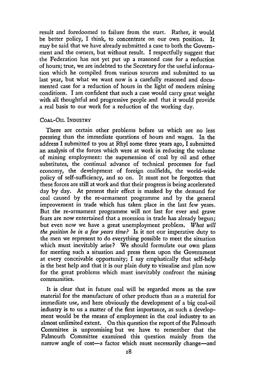result and foredoomed to failure from the start. Rather, it would be better policy, I think, to concentrate on our own position. It may be said that we have already submitted a case to both the Government and the owners, but without result. I respectfully suggest that the Federation has not yet put up a reasoned case for a reduction of hours; true, we are indebted to the Secretary for the useful information which he compiled from various sources and submitted to us last year, but what we want now is a carefully reasoned and documented case for a reduction of hours in the light of modern mining conditions. I am confident that such a case would carry great weight with all thoughtful and progressive people and that it would provide a real basis to our work for a reduction of the working day.

#### COAL-OIL INDUSTRY

There are certain other problems before us which are no less pressing than the immediate questions of hours and wages. In the address I submitted to you at Rhyl some three years ago, I submitted an analysis of the forces which were at work in reducing the volume of mining employment: the supersession of coal by oil and other substitutes, the continual advance of technical processes for fuel economy, the development of foreign coalfields, the world-wide policy of self-sufficiency, and so on. It must not be forgotten that ' these forces are still at work and that their progress is being accelerated day by day. At present their effect is masked by the demand for coal caused by the re-armament programme and by the general improvement in trade which has taken place in the last few years. But the re-armament programme will not last for ever and grave fears are now entertained that a recession in trade has already begun; but even now we have a great unemployment problem. *What will the position be in a few years time?* Is it not our imperative duty to the men we represent to do everything possible to meet the situation which must inevitably arise? We should formulate our own plans for meeting such a situation and press them upon the Government at every conceivable opportunity; I say emphatically that self-help is the best help and that it is our plain duty to visualise and plan now for the great problems which must inevitably confront the mining communities.

It is clear that in future coal will be regarded more as the raw material for the manufacture of other products than as a material for immediate use, and here obviously the development of a big coal-oil industry is to us a matter of the first importance, as such a development would be the means of employment in the coal industry to an almost unlimited extent. On this question the report of the Falmouth Committee is unpromising but we have to remember that the Falmouth Committee examined this question mainly from the narrow angle of cost—a factor which must necessarily change—and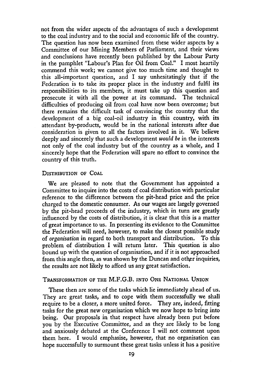not from the wider aspects of the advantages of such a development to the coal industry and to the social and economic life of the country. The question has now been examined from these wider aspects by a Committee of our Mining Members of Parliament, and their views and conclusions have recently been published by the Labour Party in the pamphlet "Labour's Plan for Oil from Coal." I most heartily commend this work; we cannot give too much time and thought to this all-important question, and I say unhesitatingly that if the Federation is to take its proper place in the industry and fulfil its responsibilities to its members, it must take up this question and prosecute it with all the power at its command. The technical difficulties of producing oil from coal have now been overcome; but there remains the difficult task of convincing the country that the development of a big coal-oil industry in this country, with its attendant by-products, would be in the national interests after due consideration is given to all the factors involved in it. We believe deeply and sincerely that such a development *would be* in the interests not only of the coal industry but of the country as a whole, and I sincerely hope that the Federation will spare no effort to convince the country of this truth.

### DISTRIBUTION OF COAL

We are pleased to note that the Government has appointed a Committee to inquire into the costs of coal distribution with particular reference to the difference between the pit-head price and the price charged to the domestic consumer. As our wages are largely governed by the pit-head proceeds of the industry, which in turn are greatly influenced by the costs of distribution, it is clear that this is a matter of great importance to us. In presenting its evidence to the Committee the Federation will need, however, to make the closest possible study of *organisation* in regard to both transport and distribution. To this problem of distribution I will return later. This question is also bound up with the question of organisation, and if it is not approached from this angle then, as was shown by the Duncan and other inquiries, the results are not likely to afford us any great satisfaction.

## TRANSFORMATION OF THE M.F,G.B. INTO ONE NATIONAL UNION

These then are some of the tasks which lie immediately ahead of us. They are great tasks, and to cope with them successfully we shall require to be a closer, a more united force. They are, indeed, fitting tasks for the great new organisation which we now hope to bring into being. Our proposals in that respect have already been put before you by the Executive Committee, and as they are likely to be long and anxiously debated at the Conference I will not comment upon them here. I would emphasise, however, that no organisation can hope successfully to surmount these great tasks unless it has a positive